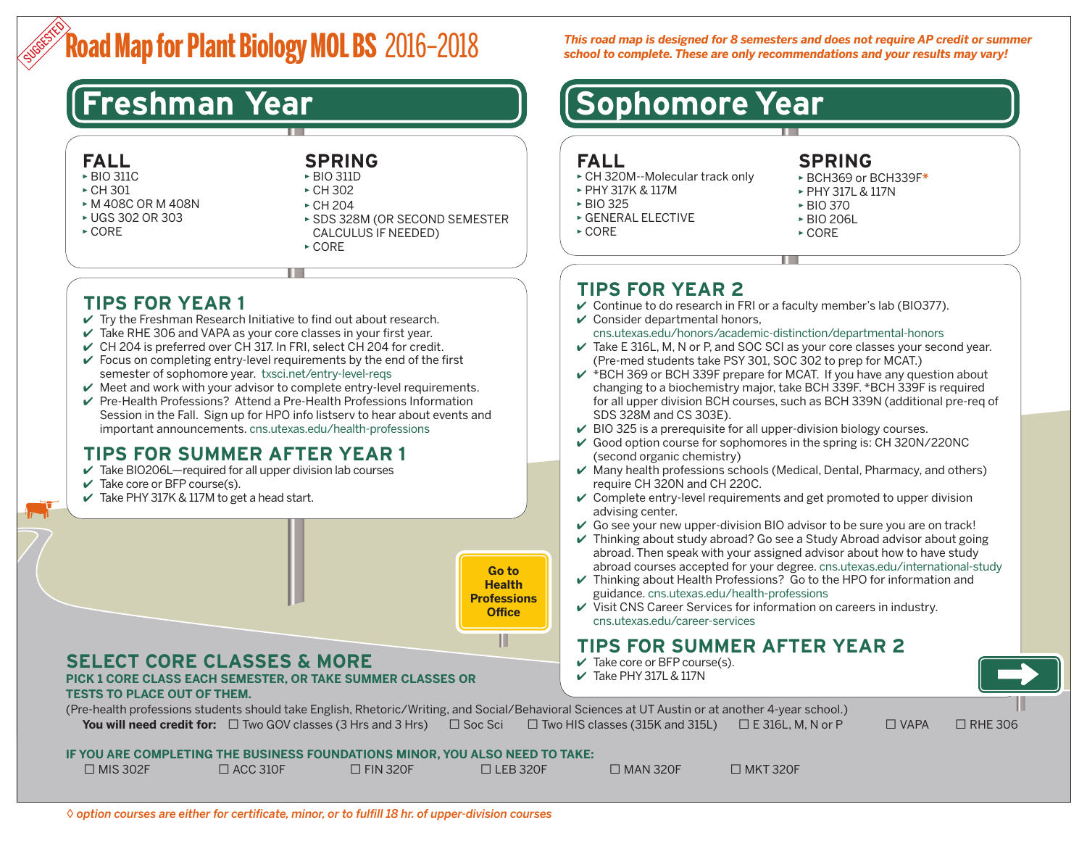# **Road Map for Plant Biology MOL BS** 2016–2018 SUGGESTED

## **FALL**

- ▶ BIO 311C
- $\triangleright$  CH 301
- ▶ M 408C OR M 408N
- ▶ UGS 302 OR 303
- $\triangleright$  CORE

### **SPRING** ▶ BIO 311D

- ▶ CH 302
- ▶ CH 204
- ▶ SDS 328M (OR SECOND SEMESTER CALCULUS IF NEEDED)
- ▶ CORE

# **TIPS FOR YEAR 1**

- $\vee$  Try the Freshman Research Initiative to find out about research.
- $\vee$  Take RHE 306 and VAPA as your core classes in your first year.
- $\vee$  CH 204 is preferred over CH 317. In FRI, select CH 204 for credit.
- $\checkmark$  Focus on completing entry-level requirements by the end of the first semester of sophomore year. [txsci.net/entry-level-reqs](http://txsci.net/entry-level-reqs)
- $\vee$  Meet and work with your advisor to complete entry-level requirements.
- ✔ Pre-Health Professions? Attend a Pre-Health Professions Information Session in the Fall. Sign up for HPO info listserv to hear about events and important announcements. [cns.utexas.edu/health-professions](http://cns.utexas.edu/health-professions)

# **TIPS FOR SUMMER AFTER YEAR 1**

- $\vee$  Take BIO206L—required for all upper division lab courses
- $\vee$  Take core or BFP course(s).
- $\checkmark$  Take PHY 317K & 117M to get a head start.



### **TESTS TO PLACE OUT OF THEM.**

*This road map is designed for 8 semesters and does not require AP credit or summer school to complete. These are only recommendations and your results may vary!*

# **Freshman Year [Sophomore Year**]

### **FALL**

- ▶ CH 320M--Molecular track only
- ▶ PHY 317K & 117M
- ▶ BIO 325
- ▶ GENERAL ELECTIVE

▶ CORE

# **SPRING**

- ▶ BCH369 or BCH339F*\**
- ▶ PHY 317L & 117N
- ▶ BIO 370
- ▶ BIO 206L
- ▶ CORE

# **TIPS FOR YEAR 2**

- $\vee$  Continue to do research in FRI or a faculty member's lab (BIO377).
- $\vee$  Consider departmental honors,

### [cns.utexas.edu/honors/academic-distinction/departmental-honors](http://cns.utexas.edu/honors/academic-distinction/departmental-honors)

- $\checkmark$  Take E 316L, M, N or P, and SOC SCI as your core classes your second year. (Pre-med students take PSY 301, SOC 302 to prep for MCAT.)
- $\overline{V}$  \*BCH 369 or BCH 339F prepare for MCAT. If you have any question about changing to a biochemistry major, take BCH 339F. \*BCH 339F is required for all upper division BCH courses, such as BCH 339N (additional pre-req of SDS 328M and CS 303E).
- $\vee$  BIO 325 is a prerequisite for all upper-division biology courses.
- $\vee$  Good option course for sophomores in the spring is: CH 320N/220NC (second organic chemistry)
- $\vee$  Many health professions schools (Medical, Dental, Pharmacy, and others) require CH 320N and CH 220C.
- $\vee$  Complete entry-level requirements and get promoted to upper division advising center.
- $\vee$  Go see your new upper-division BIO advisor to be sure you are on track!
- $\vee$  Thinking about study abroad? Go see a Study Abroad advisor about going abroad. Then speak with your assigned advisor about how to have study abroad courses accepted for your degree. [cns.utexas.edu/international-study](http://cns.utexas.edu/international-study)
- $\vee$  Thinking about Health Professions? Go to the HPO for information and guidance. [cns.utexas.edu/health-professions](http://cns.utexas.edu/health-professions)
- $\checkmark$  Visit CNS Career Services for information on careers in industry. [cns.utexas.edu/career-services](http://cns.utexas.edu/career-services)

# **TIPS FOR SUMMER AFTER YEAR 2**

- $\checkmark$  Take core or BFP course(s).
- $\checkmark$  Take PHY 317L & 117N

(Pre-health professions students should take English, Rhetoric/Writing, and Social/Behavioral Sciences at UT Austin or at another 4-year school.) **You will need credit for:** □ Two GOV classes (3 Hrs and 3 Hrs) □ Soc Sci □ Two HIS classes (315K and 315L) □ E 316L, M, N or P □ VAPA □ RHE 306

### **IF YOU ARE COMPLETING THE BUSINESS FOUNDATIONS MINOR, YOU ALSO NEED TO TAKE:**

|  | $\Box$ MIS 302F | $\Box$ ACC 310F | $\Box$ FIN 320F | $\Box$ LEB 320F | $\Box$ MAN 320F | $\Box$ MKT 320F |
|--|-----------------|-----------------|-----------------|-----------------|-----------------|-----------------|
|--|-----------------|-----------------|-----------------|-----------------|-----------------|-----------------|